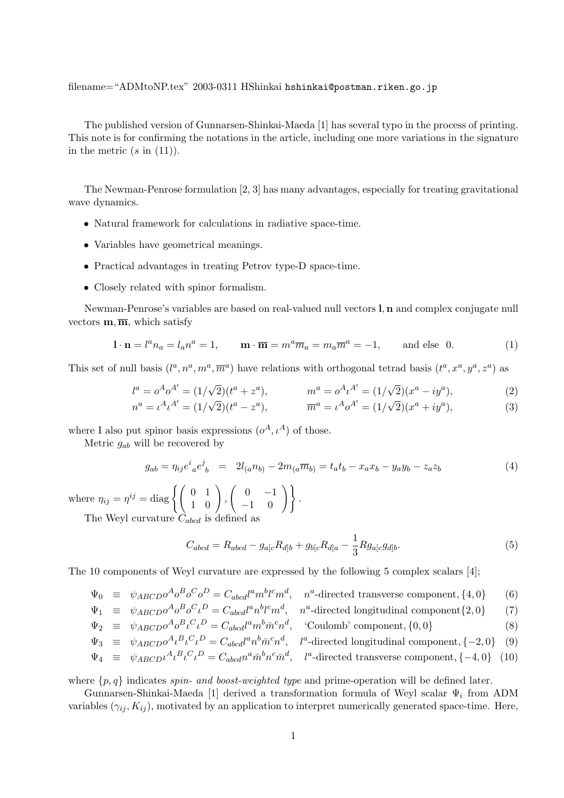filename="ADMtoNP.tex" 2003-0311 HShinkai hshinkai@postman.riken.go.jp

The published version of Gunnarsen-Shinkai-Maeda [1] has several typo in the process of printing. This note is for confirming the notations in the article, including one more variations in the signature in the metric  $(s \text{ in } (11))$ .

The Newman-Penrose formulation [2, 3] has many advantages, especially for treating gravitational wave dynamics.

- Natural framework for calculations in radiative space-time.
- Variables have geometrical meanings.
- Practical advantages in treating Petrov type-D space-time.
- Closely related with spinor formalism.

Newman-Penrose's variables are based on real-valued null vectors **l**, **n** and complex conjugate null vectors  $\mathbf{m}$ ,  $\overline{\mathbf{m}}$ , which satisfy

$$
\mathbf{l} \cdot \mathbf{n} = l^a n_a = l_a n^a = 1, \qquad \mathbf{m} \cdot \overline{\mathbf{m}} = m^a \overline{m}_a = m_a \overline{m}^a = -1, \qquad \text{and else } 0. \tag{1}
$$

This set of null basis  $(l^a, n^a, m^a, \overline{m}^a)$  have relations with orthogonal tetrad basis  $(t^a, x^a, y^a, z^a)$  as

$$
l^{a} = o^{A}o^{A'} = (1/\sqrt{2})(t^{a} + z^{a}), \qquad m^{a} = o^{A}u^{A'} = (1/\sqrt{2})(x^{a} - iy^{a}),
$$
  
\n
$$
n^{a} = \iota^{A}\iota^{A'} = (1/\sqrt{2})(t^{a} - z^{a}), \qquad \overline{m}^{a} = \iota^{A}o^{A'} = (1/\sqrt{2})(x^{a} + iy^{a}),
$$
\n(2)

where I also put spinor basis expressions  $(\rho^A, \iota^A)$  of those.

Metric  $g_{ab}$  will be recovered by

$$
g_{ab} = \eta_{ij} e^i_{\ a} e^j_{\ b} = 2l_{(a} n_{b)} - 2m_{(a} \overline{m}_{b)} = t_a t_b - x_a x_b - y_a y_b - z_a z_b \tag{4}
$$

where  $\eta_{ij} = \eta^{ij} = \text{diag}\left\{ \left( \begin{array}{cc} 0 & 1 \\ 1 & 0 \end{array} \right), \left( \begin{array}{cc} 0 & -1 \\ -1 & 0 \end{array} \right) \right\}.$ The Weyl curvature  $C_{abcd}$  is defined as

$$
C_{abcd} = R_{abcd} - g_{a[c}R_{d]b} + g_{b[c}R_{d]a} - \frac{1}{3}Rg_{a[c}g_{d]b}.
$$
\n(5)

The 10 components of Weyl curvature are expressed by the following 5 complex scalars [4];

$$
\Psi_0 \equiv \psi_{ABCD} \sigma^A \sigma^B \sigma^C \sigma^D = C_{abcd} l^a m^b l^c m^d, \quad n^a
$$
-directed transverse component,  $\{4, 0\}$  (6)

$$
\Psi_1 \equiv \psi_{ABCD} \sigma^A \sigma^B \sigma^C \iota^D = C_{abcd} l^a n^b l^c m^d, \quad n^a
$$
-directed longitudinal component $\{2, 0\}$  (7)

$$
\Psi_2 \equiv \psi_{ABCD} \sigma^A \sigma^B \iota^C \iota^D = C_{abcd} l^a m^b \bar{m}^c n^d, \quad \text{Coulomb' component, } \{0, 0\} \tag{8}
$$

$$
\Psi_3 \equiv \psi_{ABCD} \sigma^A \iota^B \iota^C \iota^D = C_{abcd} l^a n^b \bar{m}^c n^d, \quad l^a
$$
-directed longitudinal component, {-2, 0} (9)

$$
\Psi_4 \equiv \psi_{ABCD} \iota^A \iota^B \iota^C \iota^D = C_{abcd} n^a \bar{m}^b n^c \bar{m}^d, \quad l^a
$$
-directed transverse component, {-4, 0} (10)

where  $\{p, q\}$  indicates spin- and boost-weighted type and prime-operation will be defined later.

Gunnarsen-Shinkai-Maeda [1] derived a transformation formula of Weyl scalar  $\Psi_i$  from ADM variables  $(\gamma_{ij}, K_{ij})$ , motivated by an application to interpret numerically generated space-time. Here,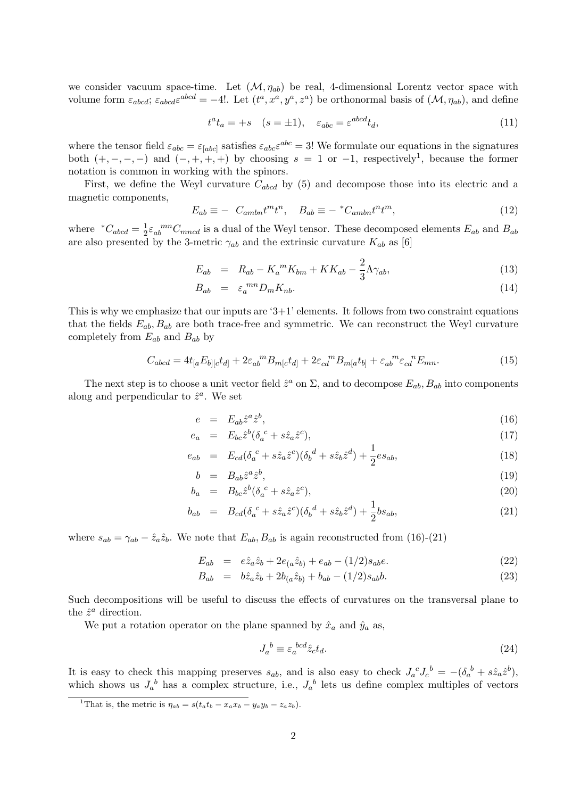we consider vacuum space-time. Let  $(\mathcal{M}, \eta_{ab})$  be real, 4-dimensional Lorentz vector space with volume form  $\varepsilon_{abcd}$ ;  $\varepsilon_{abcd}\varepsilon^{abcd} = -4!$ . Let  $(t^a, x^a, y^a, z^a)$  be orthonormal basis of  $(\mathcal{M}, \eta_{ab})$ , and define

$$
t^a t_a = +s \quad (s = \pm 1), \quad \varepsilon_{abc} = \varepsilon^{abcd} t_d,\tag{11}
$$

where the tensor field  $\varepsilon_{abc} = \varepsilon_{[abc]}$  satisfies  $\varepsilon_{abc}\varepsilon^{abc} = 3!$  We formulate our equations in the signatures both  $(+, -, -, -)$  and  $(-, +, +, +)$  by choosing  $s = 1$  or  $-1$ , respectively<sup>1</sup>, because the former notation is common in working with the spinors.

First, we define the Weyl curvature  $C_{abcd}$  by (5) and decompose those into its electric and a magnetic components,

$$
E_{ab} \equiv - C_{ambn} t^m t^n, \quad B_{ab} \equiv -{}^* C_{ambn} t^n t^m,
$$
\n<sup>(12)</sup>

where  $C_{abcd} = \frac{1}{2} \varepsilon_{ab}^{mn} C_{mncd}$  is a dual of the Weyl tensor. These decomposed elements  $E_{ab}$  and  $B_{ab}$ are also presented by the 3-metric  $\gamma_{ab}$  and the extrinsic curvature  $K_{ab}$  as [6]

$$
E_{ab} = R_{ab} - K_a{}^m K_{bm} + KK_{ab} - \frac{2}{3} \Lambda \gamma_{ab}, \tag{13}
$$

$$
B_{ab} = \varepsilon_a^{mn} D_m K_{nb}.
$$
\n(14)

This is why we emphasize that our inputs are  $3+1$ ' elements. It follows from two constraint equations that the fields  $E_{ab}$ ,  $B_{ab}$  are both trace-free and symmetric. We can reconstruct the Weyl curvature completely from  $E_{ab}$  and  $B_{ab}$  by

$$
C_{abcd} = 4t_{[a}E_{b][c}t_{d]} + 2\varepsilon_{ab}^m B_{m[c}t_{d]} + 2\varepsilon_{cd}^m B_{m[a}t_{b]} + \varepsilon_{ab}^m \varepsilon_{cd}^n E_{mn}.
$$
\n(15)

The next step is to choose a unit vector field  $\hat{z}^a$  on  $\Sigma$ , and to decompose  $E_{ab}$ ,  $B_{ab}$  into components along and perpendicular to  $\hat{z}^a$ . We set

$$
e = E_{ab}\hat{z}^a \hat{z}^b,\tag{16}
$$

$$
e_a = E_{bc} \hat{z}^b (\delta_a^c + s \hat{z}_a \hat{z}^c), \tag{17}
$$

$$
e_{ab} = E_{cd}(\delta_a{}^c + s\hat{z}_a\hat{z}^c)(\delta_b{}^d + s\hat{z}_b\hat{z}^d) + \frac{1}{2}es_{ab},\tag{18}
$$

$$
b = B_{ab}\hat{z}^a\hat{z}^b,\tag{19}
$$

$$
b_a = B_{bc} \hat{z}^b (\delta_a{}^c + s \hat{z}_a \hat{z}^c), \tag{20}
$$

$$
b_{ab} = B_{cd}(\delta_a{}^c + s\hat{z}_a\hat{z}^c)(\delta_b{}^d + s\hat{z}_b\hat{z}^d) + \frac{1}{2}bs_{ab},\tag{21}
$$

where  $s_{ab} = \gamma_{ab} - \hat{z}_a \hat{z}_b$ . We note that  $E_{ab}$ ,  $B_{ab}$  is again reconstructed from (16)-(21)

$$
E_{ab} = e\hat{z}_a \hat{z}_b + 2e_{(a} \hat{z}_{b)} + e_{ab} - (1/2)s_{ab}e.
$$
\n(22)

$$
B_{ab} = b\hat{z}_a \hat{z}_b + 2b_{(a} \hat{z}_b) + b_{ab} - (1/2)s_{ab}b.
$$
 (23)

Such decompositions will be useful to discuss the effects of curvatures on the transversal plane to the  $\hat{z}^a$  direction.

We put a rotation operator on the plane spanned by  $\hat{x}_a$  and  $\hat{y}_a$  as,

$$
J_a{}^b \equiv \varepsilon_a{}^{bcd} \hat{z}_c t_d. \tag{24}
$$

It is easy to check this mapping preserves  $s_{ab}$ , and is also easy to check  $J_a^{\ c}J_c^{\ b} = -(\delta_a^{\ b} + s\hat{z}_a\hat{z}^b)$ , which shows us  $J_a^b$  has a complex structure, i.e.,  $J_a^b$  lets us define complex multiples of vectors

<sup>&</sup>lt;sup>1</sup>That is, the metric is  $\eta_{ab} = s(t_a t_b - x_a x_b - y_a y_b - z_a z_b)$ .